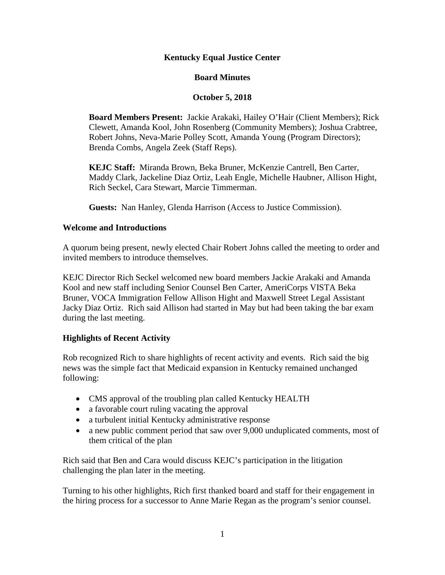# **Kentucky Equal Justice Center**

## **Board Minutes**

## **October 5, 2018**

**Board Members Present:** Jackie Arakaki, Hailey O'Hair (Client Members); Rick Clewett, Amanda Kool, John Rosenberg (Community Members); Joshua Crabtree, Robert Johns, Neva-Marie Polley Scott, Amanda Young (Program Directors); Brenda Combs, Angela Zeek (Staff Reps).

**KEJC Staff:** Miranda Brown, Beka Bruner, McKenzie Cantrell, Ben Carter, Maddy Clark, Jackeline Diaz Ortiz, Leah Engle, Michelle Haubner, Allison Hight, Rich Seckel, Cara Stewart, Marcie Timmerman.

**Guests:** Nan Hanley, Glenda Harrison (Access to Justice Commission).

## **Welcome and Introductions**

A quorum being present, newly elected Chair Robert Johns called the meeting to order and invited members to introduce themselves.

KEJC Director Rich Seckel welcomed new board members Jackie Arakaki and Amanda Kool and new staff including Senior Counsel Ben Carter, AmeriCorps VISTA Beka Bruner, VOCA Immigration Fellow Allison Hight and Maxwell Street Legal Assistant Jacky Diaz Ortiz. Rich said Allison had started in May but had been taking the bar exam during the last meeting.

# **Highlights of Recent Activity**

Rob recognized Rich to share highlights of recent activity and events. Rich said the big news was the simple fact that Medicaid expansion in Kentucky remained unchanged following:

- CMS approval of the troubling plan called Kentucky HEALTH
- a favorable court ruling vacating the approval
- a turbulent initial Kentucky administrative response
- a new public comment period that saw over 9,000 unduplicated comments, most of them critical of the plan

Rich said that Ben and Cara would discuss KEJC's participation in the litigation challenging the plan later in the meeting.

Turning to his other highlights, Rich first thanked board and staff for their engagement in the hiring process for a successor to Anne Marie Regan as the program's senior counsel.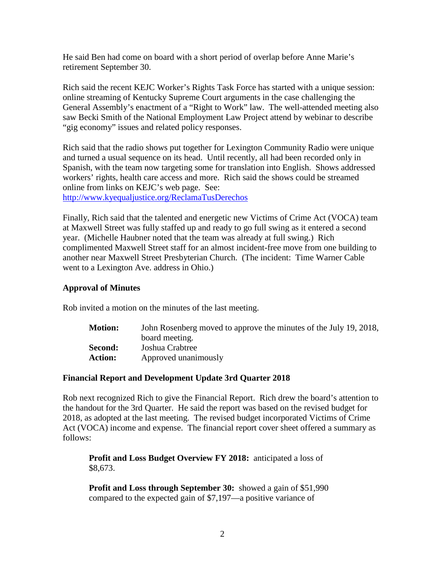He said Ben had come on board with a short period of overlap before Anne Marie's retirement September 30.

Rich said the recent KEJC Worker's Rights Task Force has started with a unique session: online streaming of Kentucky Supreme Court arguments in the case challenging the General Assembly's enactment of a "Right to Work" law. The well-attended meeting also saw Becki Smith of the National Employment Law Project attend by webinar to describe "gig economy" issues and related policy responses.

Rich said that the radio shows put together for Lexington Community Radio were unique and turned a usual sequence on its head. Until recently, all had been recorded only in Spanish, with the team now targeting some for translation into English. Shows addressed workers' rights, health care access and more. Rich said the shows could be streamed online from links on KEJC's web page. See: <http://www.kyequaljustice.org/ReclamaTusDerechos>

Finally, Rich said that the talented and energetic new Victims of Crime Act (VOCA) team at Maxwell Street was fully staffed up and ready to go full swing as it entered a second year. (Michelle Haubner noted that the team was already at full swing.) Rich complimented Maxwell Street staff for an almost incident-free move from one building to another near Maxwell Street Presbyterian Church. (The incident: Time Warner Cable went to a Lexington Ave. address in Ohio.)

## **Approval of Minutes**

Rob invited a motion on the minutes of the last meeting.

| <b>Motion:</b> | John Rosenberg moved to approve the minutes of the July 19, 2018, |
|----------------|-------------------------------------------------------------------|
|                | board meeting.                                                    |
| Second:        | Joshua Crabtree                                                   |
| <b>Action:</b> | Approved unanimously                                              |

## **Financial Report and Development Update 3rd Quarter 2018**

Rob next recognized Rich to give the Financial Report. Rich drew the board's attention to the handout for the 3rd Quarter. He said the report was based on the revised budget for 2018, as adopted at the last meeting. The revised budget incorporated Victims of Crime Act (VOCA) income and expense. The financial report cover sheet offered a summary as follows:

**Profit and Loss Budget Overview FY 2018:** anticipated a loss of \$8,673.

**Profit and Loss through September 30:** showed a gain of \$51,990 compared to the expected gain of \$7,197—a positive variance of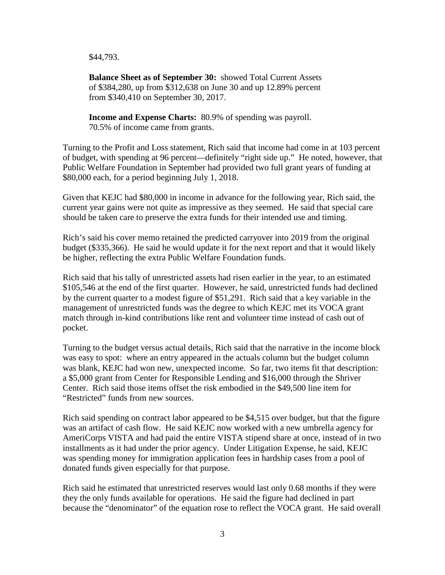\$44,793.

**Balance Sheet as of September 30:** showed Total Current Assets of \$384,280, up from \$312,638 on June 30 and up 12.89% percent from \$340,410 on September 30, 2017.

**Income and Expense Charts:** 80.9% of spending was payroll. 70.5% of income came from grants.

Turning to the Profit and Loss statement, Rich said that income had come in at 103 percent of budget, with spending at 96 percent—definitely "right side up." He noted, however, that Public Welfare Foundation in September had provided two full grant years of funding at \$80,000 each, for a period beginning July 1, 2018.

Given that KEJC had \$80,000 in income in advance for the following year, Rich said, the current year gains were not quite as impressive as they seemed. He said that special care should be taken care to preserve the extra funds for their intended use and timing.

Rich's said his cover memo retained the predicted carryover into 2019 from the original budget (\$335,366). He said he would update it for the next report and that it would likely be higher, reflecting the extra Public Welfare Foundation funds.

Rich said that his tally of unrestricted assets had risen earlier in the year, to an estimated \$105,546 at the end of the first quarter. However, he said, unrestricted funds had declined by the current quarter to a modest figure of \$51,291. Rich said that a key variable in the management of unrestricted funds was the degree to which KEJC met its VOCA grant match through in-kind contributions like rent and volunteer time instead of cash out of pocket.

Turning to the budget versus actual details, Rich said that the narrative in the income block was easy to spot: where an entry appeared in the actuals column but the budget column was blank, KEJC had won new, unexpected income. So far, two items fit that description: a \$5,000 grant from Center for Responsible Lending and \$16,000 through the Shriver Center. Rich said those items offset the risk embodied in the \$49,500 line item for "Restricted" funds from new sources.

Rich said spending on contract labor appeared to be \$4,515 over budget, but that the figure was an artifact of cash flow. He said KEJC now worked with a new umbrella agency for AmeriCorps VISTA and had paid the entire VISTA stipend share at once, instead of in two installments as it had under the prior agency. Under Litigation Expense, he said, KEJC was spending money for immigration application fees in hardship cases from a pool of donated funds given especially for that purpose.

Rich said he estimated that unrestricted reserves would last only 0.68 months if they were they the only funds available for operations. He said the figure had declined in part because the "denominator" of the equation rose to reflect the VOCA grant. He said overall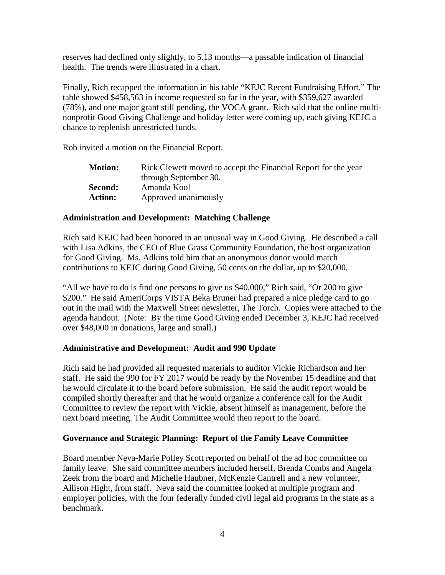reserves had declined only slightly, to 5.13 months—a passable indication of financial health. The trends were illustrated in a chart.

Finally, Rich recapped the information in his table "KEJC Recent Fundraising Effort." The table showed \$458,563 in income requested so far in the year, with \$359,627 awarded (78%), and one major grant still pending, the VOCA grant. Rich said that the online multinonprofit Good Giving Challenge and holiday letter were coming up, each giving KEJC a chance to replenish unrestricted funds.

Rob invited a motion on the Financial Report.

| <b>Motion:</b> | Rick Clewett moved to accept the Financial Report for the year |
|----------------|----------------------------------------------------------------|
|                | through September 30.                                          |
| Second:        | Amanda Kool                                                    |
| <b>Action:</b> | Approved unanimously                                           |

## **Administration and Development: Matching Challenge**

Rich said KEJC had been honored in an unusual way in Good Giving. He described a call with Lisa Adkins, the CEO of Blue Grass Community Foundation, the host organization for Good Giving. Ms. Adkins told him that an anonymous donor would match contributions to KEJC during Good Giving, 50 cents on the dollar, up to \$20,000.

"All we have to do is find one persons to give us \$40,000," Rich said, "Or 200 to give \$200." He said AmeriCorps VISTA Beka Bruner had prepared a nice pledge card to go out in the mail with the Maxwell Street newsletter, The Torch. Copies were attached to the agenda handout. (Note: By the time Good Giving ended December 3, KEJC had received over \$48,000 in donations, large and small.)

## **Administrative and Development: Audit and 990 Update**

Rich said he had provided all requested materials to auditor Vickie Richardson and her staff. He said the 990 for FY 2017 would be ready by the November 15 deadline and that he would circulate it to the board before submission. He said the audit report would be compiled shortly thereafter and that he would organize a conference call for the Audit Committee to review the report with Vickie, absent himself as management, before the next board meeting. The Audit Committee would then report to the board.

#### **Governance and Strategic Planning: Report of the Family Leave Committee**

Board member Neva-Marie Polley Scott reported on behalf of the ad hoc committee on family leave. She said committee members included herself, Brenda Combs and Angela Zeek from the board and Michelle Haubner, McKenzie Cantrell and a new volunteer, Allison Hight, from staff. Neva said the committee looked at multiple program and employer policies, with the four federally funded civil legal aid programs in the state as a benchmark.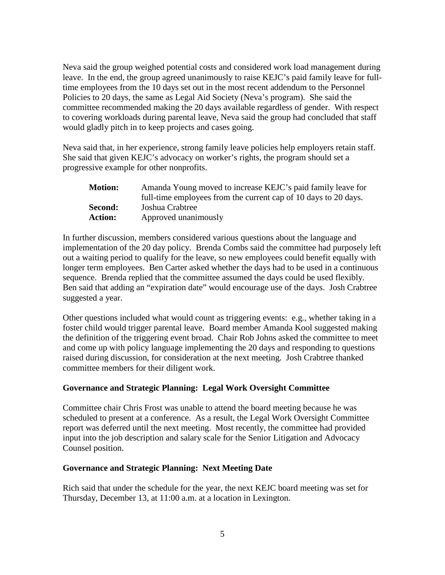Neva said the group weighed potential costs and considered work load management during leave. In the end, the group agreed unanimously to raise KEJC's paid family leave for fulltime employees from the 10 days set out in the most recent addendum to the Personnel Policies to 20 days, the same as Legal Aid Society (Neva's program). She said the committee recommended making the 20 days available regardless of gender. With respect to covering workloads during parental leave, Neva said the group had concluded that staff would gladly pitch in to keep projects and cases going.

Neva said that, in her experience, strong family leave policies help employers retain staff. She said that given KEJC's advocacy on worker's rights, the program should set a progressive example for other nonprofits.

| <b>Motion:</b> | Amanda Young moved to increase KEJC's paid family leave for     |
|----------------|-----------------------------------------------------------------|
|                | full-time employees from the current cap of 10 days to 20 days. |
| Second:        | Joshua Crabtree                                                 |
| <b>Action:</b> | Approved unanimously                                            |

In further discussion, members considered various questions about the language and implementation of the 20 day policy. Brenda Combs said the committee had purposely left out a waiting period to qualify for the leave, so new employees could benefit equally with longer term employees. Ben Carter asked whether the days had to be used in a continuous sequence. Brenda replied that the committee assumed the days could be used flexibly. Ben said that adding an "expiration date" would encourage use of the days. Josh Crabtree suggested a year.

Other questions included what would count as triggering events: e.g., whether taking in a foster child would trigger parental leave. Board member Amanda Kool suggested making the definition of the triggering event broad. Chair Rob Johns asked the committee to meet and come up with policy language implementing the 20 days and responding to questions raised during discussion, for consideration at the next meeting. Josh Crabtree thanked committee members for their diligent work.

## **Governance and Strategic Planning: Legal Work Oversight Committee**

Committee chair Chris Frost was unable to attend the board meeting because he was scheduled to present at a conference. As a result, the Legal Work Oversight Committee report was deferred until the next meeting. Most recently, the committee had provided input into the job description and salary scale for the Senior Litigation and Advocacy Counsel position.

#### **Governance and Strategic Planning: Next Meeting Date**

Rich said that under the schedule for the year, the next KEJC board meeting was set for Thursday, December 13, at 11:00 a.m. at a location in Lexington.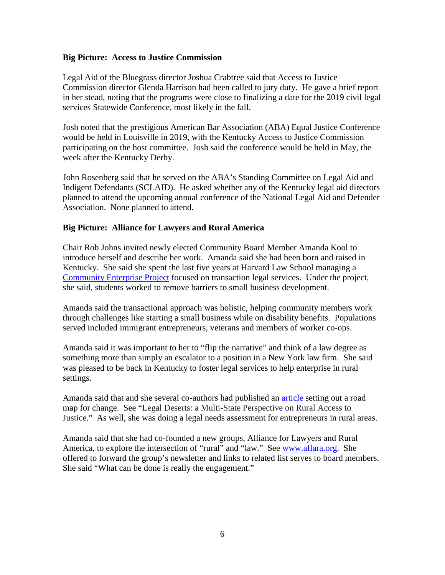## **Big Picture: Access to Justice Commission**

Legal Aid of the Bluegrass director Joshua Crabtree said that Access to Justice Commission director Glenda Harrison had been called to jury duty. He gave a brief report in her stead, noting that the programs were close to finalizing a date for the 2019 civil legal services Statewide Conference, most likely in the fall.

Josh noted that the prestigious American Bar Association (ABA) Equal Justice Conference would be held in Louisville in 2019, with the Kentucky Access to Justice Commission participating on the host committee. Josh said the conference would be held in May, the week after the Kentucky Derby.

John Rosenberg said that he served on the ABA's Standing Committee on Legal Aid and Indigent Defendants (SCLAID). He asked whether any of the Kentucky legal aid directors planned to attend the upcoming annual conference of the National Legal Aid and Defender Association. None planned to attend.

### **Big Picture: Alliance for Lawyers and Rural America**

Chair Rob Johns invited newly elected Community Board Member Amanda Kool to introduce herself and describe her work. Amanda said she had been born and raised in Kentucky. She said she spent the last five years at Harvard Law School managing a [Community Enterprise Project](https://clinics.law.harvard.edu/tlc/for-clients/community-enterprise-project/) focused on transaction legal services. Under the project, she said, students worked to remove barriers to small business development.

Amanda said the transactional approach was holistic, helping community members work through challenges like starting a small business while on disability benefits. Populations served included immigrant entrepreneurs, veterans and members of worker co-ops.

Amanda said it was important to her to "flip the narrative" and think of a law degree as something more than simply an escalator to a position in a New York law firm. She said was pleased to be back in Kentucky to foster legal services to help enterprise in rural settings.

Amanda said that and she several co-authors had published an [article](https://papers.ssrn.com/sol3/papers.cfm?abstract_id=3198411) setting out a road map for change. See "Legal Deserts: a Multi-State Perspective on Rural Access to Justice." As well, she was doing a legal needs assessment for entrepreneurs in rural areas.

Amanda said that she had co-founded a new groups, Alliance for Lawyers and Rural America, to explore the intersection of "rural" and "law." See [www.aflara.org.](http://www.aflara.org/) She offered to forward the group's newsletter and links to related list serves to board members. She said "What can be done is really the engagement."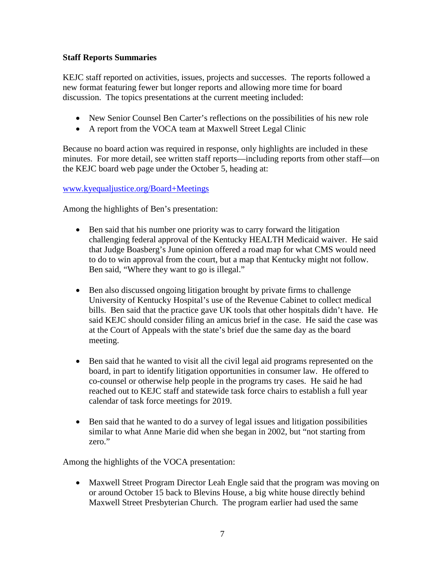## **Staff Reports Summaries**

KEJC staff reported on activities, issues, projects and successes. The reports followed a new format featuring fewer but longer reports and allowing more time for board discussion. The topics presentations at the current meeting included:

- New Senior Counsel Ben Carter's reflections on the possibilities of his new role
- A report from the VOCA team at Maxwell Street Legal Clinic

Because no board action was required in response, only highlights are included in these minutes. For more detail, see written staff reports—including reports from other staff—on the KEJC board web page under the October 5, heading at:

## [www.kyequaljustice.org/Board+Meetings](http://www.kyequaljustice.org/Board+Meetings)

Among the highlights of Ben's presentation:

- Ben said that his number one priority was to carry forward the litigation challenging federal approval of the Kentucky HEALTH Medicaid waiver. He said that Judge Boasberg's June opinion offered a road map for what CMS would need to do to win approval from the court, but a map that Kentucky might not follow. Ben said, "Where they want to go is illegal."
- Ben also discussed ongoing litigation brought by private firms to challenge University of Kentucky Hospital's use of the Revenue Cabinet to collect medical bills. Ben said that the practice gave UK tools that other hospitals didn't have. He said KEJC should consider filing an amicus brief in the case. He said the case was at the Court of Appeals with the state's brief due the same day as the board meeting.
- Ben said that he wanted to visit all the civil legal aid programs represented on the board, in part to identify litigation opportunities in consumer law. He offered to co-counsel or otherwise help people in the programs try cases. He said he had reached out to KEJC staff and statewide task force chairs to establish a full year calendar of task force meetings for 2019.
- Ben said that he wanted to do a survey of legal issues and litigation possibilities similar to what Anne Marie did when she began in 2002, but "not starting from zero."

Among the highlights of the VOCA presentation:

• Maxwell Street Program Director Leah Engle said that the program was moving on or around October 15 back to Blevins House, a big white house directly behind Maxwell Street Presbyterian Church. The program earlier had used the same